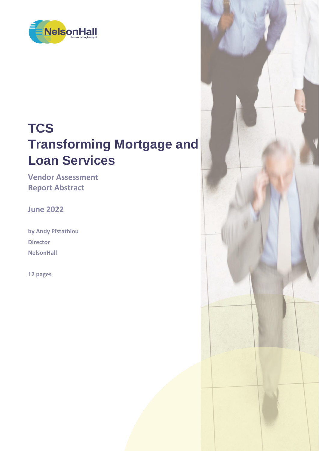

# **TCS Transforming Mortgage and Loan Services**

**Vendor Assessment Report Abstract**

**June 2022**

**by Andy Efstathiou Director NelsonHall**

**12 pages**

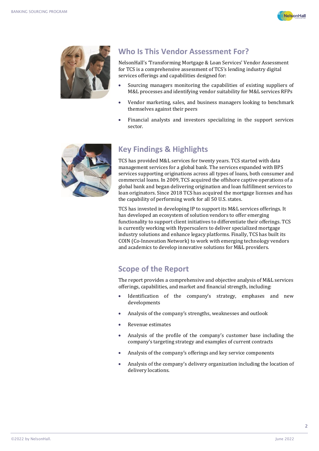



#### **Who Is This Vendor Assessment For?**

NelsonHall's 'Transforming Mortgage & Loan Services' Vendor Assessment for TCS is a comprehensive assessment of TCS's lending industry digital services offerings and capabilities designed for:

- Sourcing managers monitoring the capabilities of existing suppliers of M&L processes and identifying vendor suitability for M&L services RFPs
- Vendor marketing, sales, and business managers looking to benchmark themselves against their peers
- Financial analysts and investors specializing in the support services sector.



### **Key Findings & Highlights**

TCS has provided M&L services for twenty years. TCS started with data management services for a global bank. The services expanded with BPS services supporting originations across all types of loans, both consumer and commercial loans. In 2009, TCS acquired the offshore captive operations of a global bank and began delivering origination and loan fulfillment services to loan originators. Since 2018 TCS has acquired the mortgage licenses and has the capability of performing work for all 50 U.S. states.

TCS has invested in developing IP to support its M&L services offerings. It has developed an ecosystem of solution vendors to offer emerging functionality to support client initiatives to differentiate their offerings. TCS is currently working with Hyperscalers to deliver specialized mortgage industry solutions and enhance legacy platforms. Finally, TCS has built its COIN (Co-Innovation Network) to work with emerging technology vendors and academics to develop innovative solutions for M&L providers.

# **Scope of the Report**

The report provides a comprehensive and objective analysis of M&L services offerings, capabilities, and market and financial strength, including:

- Identification of the company's strategy, emphases and new developments
- Analysis of the company's strengths, weaknesses and outlook
- Revenue estimates
- Analysis of the profile of the company's customer base including the company's targeting strategy and examples of current contracts
- Analysis of the company's offerings and key service components
- Analysis of the company's delivery organization including the location of delivery locations.